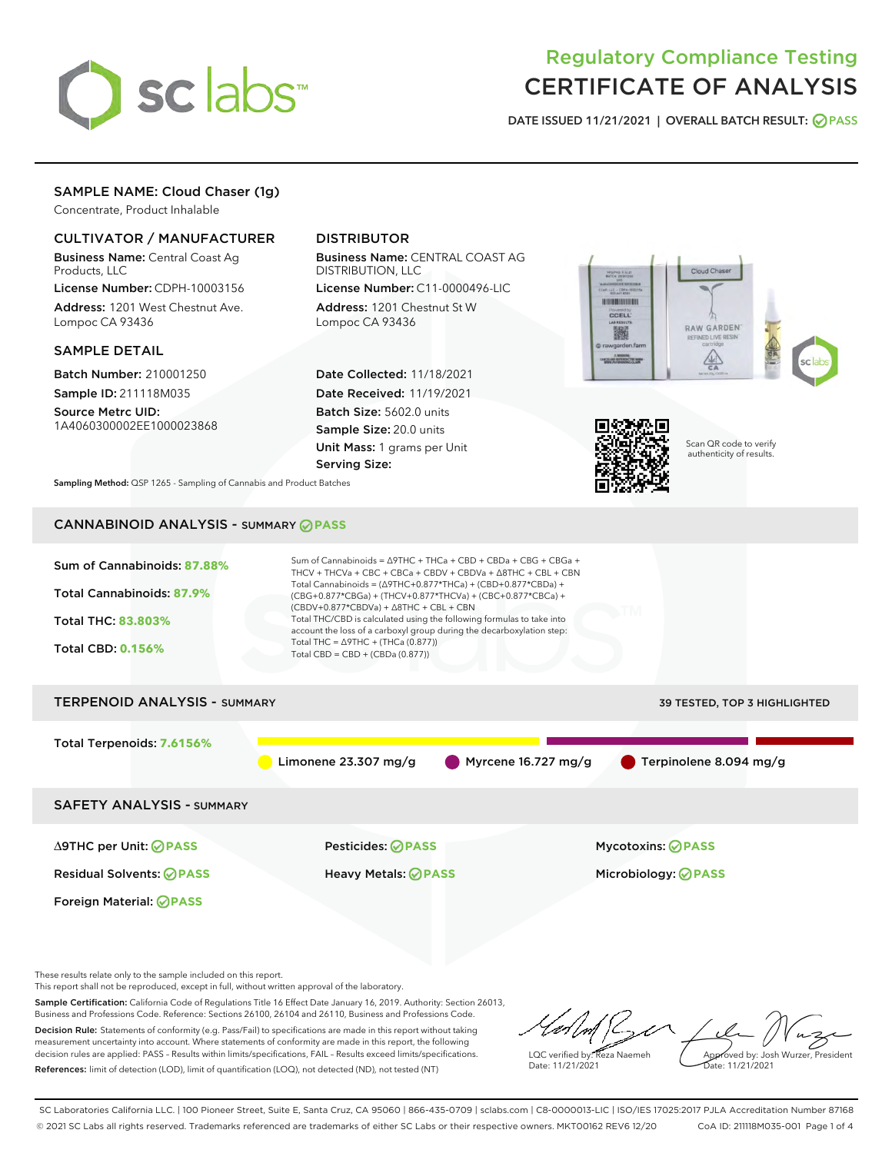

# Regulatory Compliance Testing CERTIFICATE OF ANALYSIS

DATE ISSUED 11/21/2021 | OVERALL BATCH RESULT: @ PASS

# SAMPLE NAME: Cloud Chaser (1g)

Concentrate, Product Inhalable

# CULTIVATOR / MANUFACTURER

Business Name: Central Coast Ag Products, LLC

License Number: CDPH-10003156 Address: 1201 West Chestnut Ave. Lompoc CA 93436

# SAMPLE DETAIL

Batch Number: 210001250 Sample ID: 211118M035

Source Metrc UID: 1A4060300002EE1000023868

# DISTRIBUTOR

Business Name: CENTRAL COAST AG DISTRIBUTION, LLC

License Number: C11-0000496-LIC Address: 1201 Chestnut St W Lompoc CA 93436

Date Collected: 11/18/2021 Date Received: 11/19/2021 Batch Size: 5602.0 units Sample Size: 20.0 units Unit Mass: 1 grams per Unit Serving Size:





Scan QR code to verify authenticity of results.

Sampling Method: QSP 1265 - Sampling of Cannabis and Product Batches

# CANNABINOID ANALYSIS - SUMMARY **PASS**

| Sum of Cannabinoids: 87.88%<br>Total Cannabinoids: 87.9%<br><b>Total THC: 83.803%</b><br><b>Total CBD: 0.156%</b> | Sum of Cannabinoids = $\triangle$ 9THC + THCa + CBD + CBDa + CBG + CBGa +<br>THCV + THCVa + CBC + CBCa + CBDV + CBDVa + $\triangle$ 8THC + CBL + CBN<br>Total Cannabinoids = $(\Delta$ 9THC+0.877*THCa) + (CBD+0.877*CBDa) +<br>(CBG+0.877*CBGa) + (THCV+0.877*THCVa) + (CBC+0.877*CBCa) +<br>$(CBDV+0.877*CBDVa) + \Delta 8THC + CBL + CBN$<br>Total THC/CBD is calculated using the following formulas to take into<br>account the loss of a carboxyl group during the decarboxylation step:<br>Total THC = $\triangle$ 9THC + (THCa (0.877))<br>Total CBD = $CBD + (CBDa (0.877))$ |                                                        |  |  |  |
|-------------------------------------------------------------------------------------------------------------------|---------------------------------------------------------------------------------------------------------------------------------------------------------------------------------------------------------------------------------------------------------------------------------------------------------------------------------------------------------------------------------------------------------------------------------------------------------------------------------------------------------------------------------------------------------------------------------------|--------------------------------------------------------|--|--|--|
| <b>TERPENOID ANALYSIS - SUMMARY</b>                                                                               |                                                                                                                                                                                                                                                                                                                                                                                                                                                                                                                                                                                       | 39 TESTED, TOP 3 HIGHLIGHTED                           |  |  |  |
| Total Terpenoids: 7.6156%                                                                                         | Limonene $23.307$ mg/g<br>Myrcene 16.727 mg/g                                                                                                                                                                                                                                                                                                                                                                                                                                                                                                                                         | Terpinolene 8.094 mg/g                                 |  |  |  |
| <b>SAFETY ANALYSIS - SUMMARY</b>                                                                                  |                                                                                                                                                                                                                                                                                                                                                                                                                                                                                                                                                                                       |                                                        |  |  |  |
| ∆9THC per Unit: ⊘PASS<br><b>Residual Solvents: ⊘ PASS</b><br>Foreign Material: <b>⊘ PASS</b>                      | Pesticides: ⊘PASS<br><b>Heavy Metals: ⊘ PASS</b>                                                                                                                                                                                                                                                                                                                                                                                                                                                                                                                                      | <b>Mycotoxins: ⊘PASS</b><br>Microbiology: <b>OPASS</b> |  |  |  |

These results relate only to the sample included on this report.

This report shall not be reproduced, except in full, without written approval of the laboratory.

Sample Certification: California Code of Regulations Title 16 Effect Date January 16, 2019. Authority: Section 26013, Business and Professions Code. Reference: Sections 26100, 26104 and 26110, Business and Professions Code. Decision Rule: Statements of conformity (e.g. Pass/Fail) to specifications are made in this report without taking

measurement uncertainty into account. Where statements of conformity are made in this report, the following decision rules are applied: PASS – Results within limits/specifications, FAIL – Results exceed limits/specifications. References: limit of detection (LOD), limit of quantification (LOQ), not detected (ND), not tested (NT)

LQC verified by: Reza Naemeh Date: 11/21/2021 Approved by: Josh Wurzer, President Date: 11/21/2021

SC Laboratories California LLC. | 100 Pioneer Street, Suite E, Santa Cruz, CA 95060 | 866-435-0709 | sclabs.com | C8-0000013-LIC | ISO/IES 17025:2017 PJLA Accreditation Number 87168 © 2021 SC Labs all rights reserved. Trademarks referenced are trademarks of either SC Labs or their respective owners. MKT00162 REV6 12/20 CoA ID: 211118M035-001 Page 1 of 4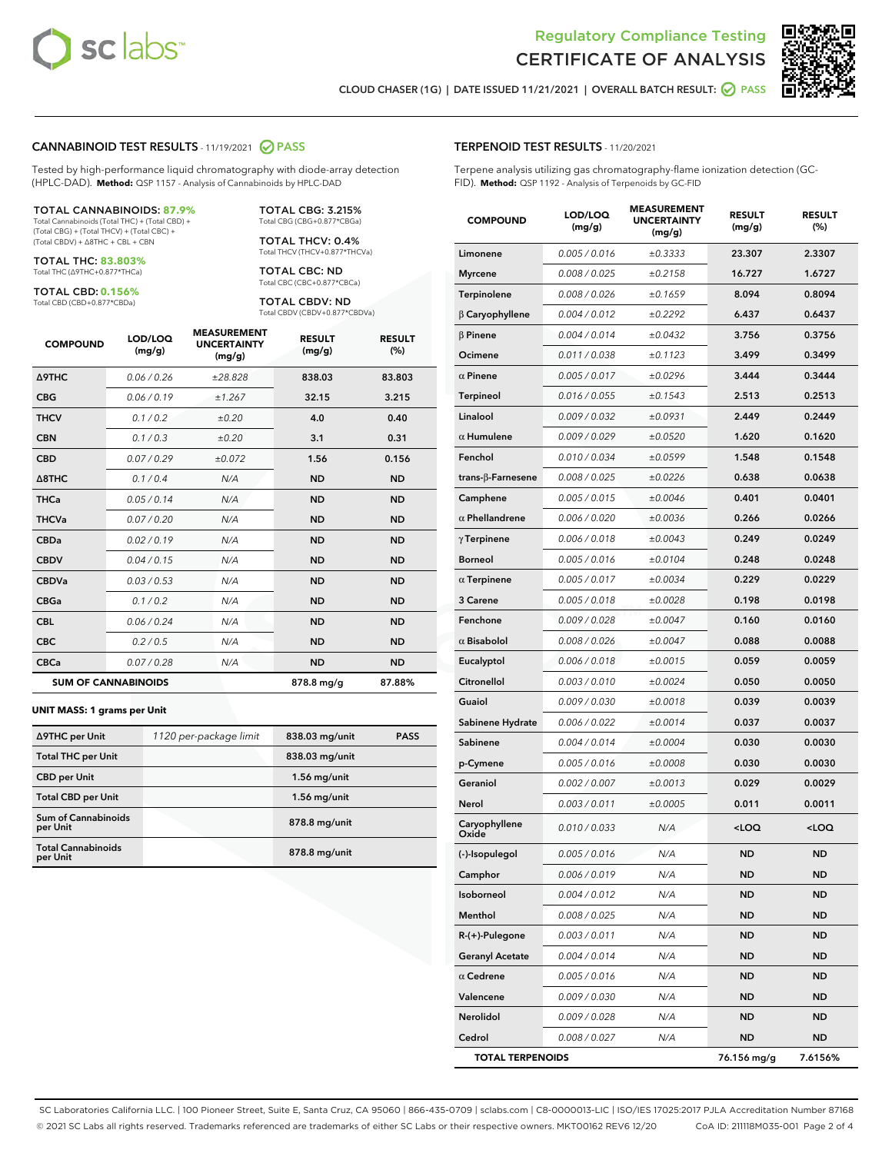

Terpene analysis utilizing gas chromatography-flame ionization detection (GC-



CLOUD CHASER (1G) | DATE ISSUED 11/21/2021 | OVERALL BATCH RESULT: **○** PASS

TERPENOID TEST RESULTS - 11/20/2021

FID). **Method:** QSP 1192 - Analysis of Terpenoids by GC-FID

# CANNABINOID TEST RESULTS - 11/19/2021 2 PASS

Tested by high-performance liquid chromatography with diode-array detection (HPLC-DAD). **Method:** QSP 1157 - Analysis of Cannabinoids by HPLC-DAD

#### TOTAL CANNABINOIDS: **87.9%**

Total Cannabinoids (Total THC) + (Total CBD) + (Total CBG) + (Total THCV) + (Total CBC) + (Total CBDV) + ∆8THC + CBL + CBN

TOTAL THC: **83.803%** Total THC (∆9THC+0.877\*THCa)

TOTAL CBD: **0.156%**

Total CBD (CBD+0.877\*CBDa)

TOTAL CBG: 3.215% Total CBG (CBG+0.877\*CBGa)

TOTAL THCV: 0.4% Total THCV (THCV+0.877\*THCVa)

TOTAL CBC: ND Total CBC (CBC+0.877\*CBCa)

TOTAL CBDV: ND Total CBDV (CBDV+0.877\*CBDVa)

| <b>COMPOUND</b>            | LOD/LOQ<br>(mg/g) | <b>MEASUREMENT</b><br><b>UNCERTAINTY</b><br>(mg/g) | <b>RESULT</b><br>(mg/g) | <b>RESULT</b><br>(%) |
|----------------------------|-------------------|----------------------------------------------------|-------------------------|----------------------|
| <b>A9THC</b>               | 0.06 / 0.26       | ±28.828                                            | 838.03                  | 83.803               |
| <b>CBG</b>                 | 0.06/0.19         | ±1.267                                             | 32.15                   | 3.215                |
| <b>THCV</b>                | 0.1 / 0.2         | ±0.20                                              | 4.0                     | 0.40                 |
| <b>CBN</b>                 | 0.1/0.3           | ±0.20                                              | 3.1                     | 0.31                 |
| <b>CBD</b>                 | 0.07/0.29         | ±0.072                                             | 1.56                    | 0.156                |
| $\triangle$ 8THC           | 0.1 / 0.4         | N/A                                                | <b>ND</b>               | <b>ND</b>            |
| <b>THCa</b>                | 0.05/0.14         | N/A                                                | <b>ND</b>               | <b>ND</b>            |
| <b>THCVa</b>               | 0.07/0.20         | N/A                                                | <b>ND</b>               | <b>ND</b>            |
| <b>CBDa</b>                | 0.02/0.19         | N/A                                                | <b>ND</b>               | <b>ND</b>            |
| <b>CBDV</b>                | 0.04/0.15         | N/A                                                | <b>ND</b>               | <b>ND</b>            |
| <b>CBDVa</b>               | 0.03/0.53         | N/A                                                | <b>ND</b>               | <b>ND</b>            |
| <b>CBGa</b>                | 0.1/0.2           | N/A                                                | <b>ND</b>               | <b>ND</b>            |
| <b>CBL</b>                 | 0.06 / 0.24       | N/A                                                | <b>ND</b>               | <b>ND</b>            |
| <b>CBC</b>                 | 0.2 / 0.5         | N/A                                                | <b>ND</b>               | <b>ND</b>            |
| <b>CBCa</b>                | 0.07/0.28         | N/A                                                | <b>ND</b>               | <b>ND</b>            |
| <b>SUM OF CANNABINOIDS</b> |                   |                                                    | 878.8 mg/g              | 87.88%               |

#### **UNIT MASS: 1 grams per Unit**

| ∆9THC per Unit                         | 1120 per-package limit | 838.03 mg/unit | <b>PASS</b> |
|----------------------------------------|------------------------|----------------|-------------|
| <b>Total THC per Unit</b>              |                        | 838.03 mg/unit |             |
| <b>CBD</b> per Unit                    |                        | $1.56$ mg/unit |             |
| <b>Total CBD per Unit</b>              |                        | $1.56$ mg/unit |             |
| <b>Sum of Cannabinoids</b><br>per Unit |                        | 878.8 mg/unit  |             |
| <b>Total Cannabinoids</b><br>per Unit  |                        | 878.8 mg/unit  |             |

| <b>COMPOUND</b>         | LOD/LOQ<br>(mg/g) | <b>MEASUREMENT</b><br><b>UNCERTAINTY</b><br>(mg/g) | <b>RESULT</b><br>(mg/g)                         | <b>RESULT</b><br>$(\%)$ |
|-------------------------|-------------------|----------------------------------------------------|-------------------------------------------------|-------------------------|
| Limonene                | 0.005 / 0.016     | ±0.3333                                            | 23.307                                          | 2.3307                  |
| Myrcene                 | 0.008 / 0.025     | ±0.2158                                            | 16.727                                          | 1.6727                  |
| Terpinolene             | 0.008 / 0.026     | ±0.1659                                            | 8.094                                           | 0.8094                  |
| $\upbeta$ Caryophyllene | 0.004 / 0.012     | ±0.2292                                            | 6.437                                           | 0.6437                  |
| $\beta$ Pinene          | 0.004 / 0.014     | ±0.0432                                            | 3.756                                           | 0.3756                  |
| Ocimene                 | 0.011 / 0.038     | ±0.1123                                            | 3.499                                           | 0.3499                  |
| $\alpha$ Pinene         | 0.005 / 0.017     | ±0.0296                                            | 3.444                                           | 0.3444                  |
| Terpineol               | 0.016 / 0.055     | ±0.1543                                            | 2.513                                           | 0.2513                  |
| Linalool                | 0.009 / 0.032     | ±0.0931                                            | 2.449                                           | 0.2449                  |
| $\alpha$ Humulene       | 0.009/0.029       | ±0.0520                                            | 1.620                                           | 0.1620                  |
| Fenchol                 | 0.010 / 0.034     | ±0.0599                                            | 1.548                                           | 0.1548                  |
| trans-β-Farnesene       | 0.008 / 0.025     | ±0.0226                                            | 0.638                                           | 0.0638                  |
| Camphene                | 0.005 / 0.015     | ±0.0046                                            | 0.401                                           | 0.0401                  |
| $\alpha$ Phellandrene   | 0.006 / 0.020     | ±0.0036                                            | 0.266                                           | 0.0266                  |
| γ Terpinene             | 0.006 / 0.018     | ±0.0043                                            | 0.249                                           | 0.0249                  |
| Borneol                 | 0.005 / 0.016     | ±0.0104                                            | 0.248                                           | 0.0248                  |
| $\alpha$ Terpinene      | 0.005 / 0.017     | ±0.0034                                            | 0.229                                           | 0.0229                  |
| <b>3 Carene</b>         | 0.005 / 0.018     | ±0.0028                                            | 0.198                                           | 0.0198                  |
| Fenchone                | 0.009 / 0.028     | ±0.0047                                            | 0.160                                           | 0.0160                  |
| $\alpha$ Bisabolol      | 0.008 / 0.026     | ±0.0047                                            | 0.088                                           | 0.0088                  |
| Eucalyptol              | 0.006 / 0.018     | ±0.0015                                            | 0.059                                           | 0.0059                  |
| Citronellol             | 0.003 / 0.010     | ±0.0024                                            | 0.050                                           | 0.0050                  |
| Guaiol                  | 0.009 / 0.030     | ±0.0018                                            | 0.039                                           | 0.0039                  |
| Sabinene Hydrate        | 0.006 / 0.022     | ±0.0014                                            | 0.037                                           | 0.0037                  |
| Sabinene                | 0.004 / 0.014     | ±0.0004                                            | 0.030                                           | 0.0030                  |
| p-Cymene                | 0.005 / 0.016     | ±0.0008                                            | 0.030                                           | 0.0030                  |
| Geraniol                | 0.002 / 0.007     | ±0.0013                                            | 0.029                                           | 0.0029                  |
| Nerol                   | 0.003 / 0.011     | ±0.0005                                            | 0.011                                           | 0.0011                  |
| Caryophyllene<br>Oxide  | 0.010 / 0.033     | N/A                                                | <loq< th=""><th><loq< th=""></loq<></th></loq<> | <loq< th=""></loq<>     |
| (-)-Isopulegol          | 0.005 / 0.016     | N/A                                                | <b>ND</b>                                       | <b>ND</b>               |
| Camphor                 | 0.006 / 0.019     | N/A                                                | ND                                              | ND                      |
| Isoborneol              | 0.004 / 0.012     | N/A                                                | ND                                              | ND                      |
| Menthol                 | 0.008 / 0.025     | N/A                                                | ND                                              | ND                      |
| R-(+)-Pulegone          | 0.003 / 0.011     | N/A                                                | ND                                              | <b>ND</b>               |
| <b>Geranyl Acetate</b>  | 0.004 / 0.014     | N/A                                                | ND                                              | ND                      |
| $\alpha$ Cedrene        | 0.005 / 0.016     | N/A                                                | ND                                              | ND                      |
| Valencene               | 0.009 / 0.030     | N/A                                                | ND                                              | <b>ND</b>               |
| Nerolidol               | 0.009 / 0.028     | N/A                                                | ND                                              | ND                      |
| Cedrol                  | 0.008 / 0.027     | N/A                                                | ND                                              | ND                      |

TOTAL TERPENOIDS 76.156 mg/g 7.6156%

SC Laboratories California LLC. | 100 Pioneer Street, Suite E, Santa Cruz, CA 95060 | 866-435-0709 | sclabs.com | C8-0000013-LIC | ISO/IES 17025:2017 PJLA Accreditation Number 87168 © 2021 SC Labs all rights reserved. Trademarks referenced are trademarks of either SC Labs or their respective owners. MKT00162 REV6 12/20 CoA ID: 211118M035-001 Page 2 of 4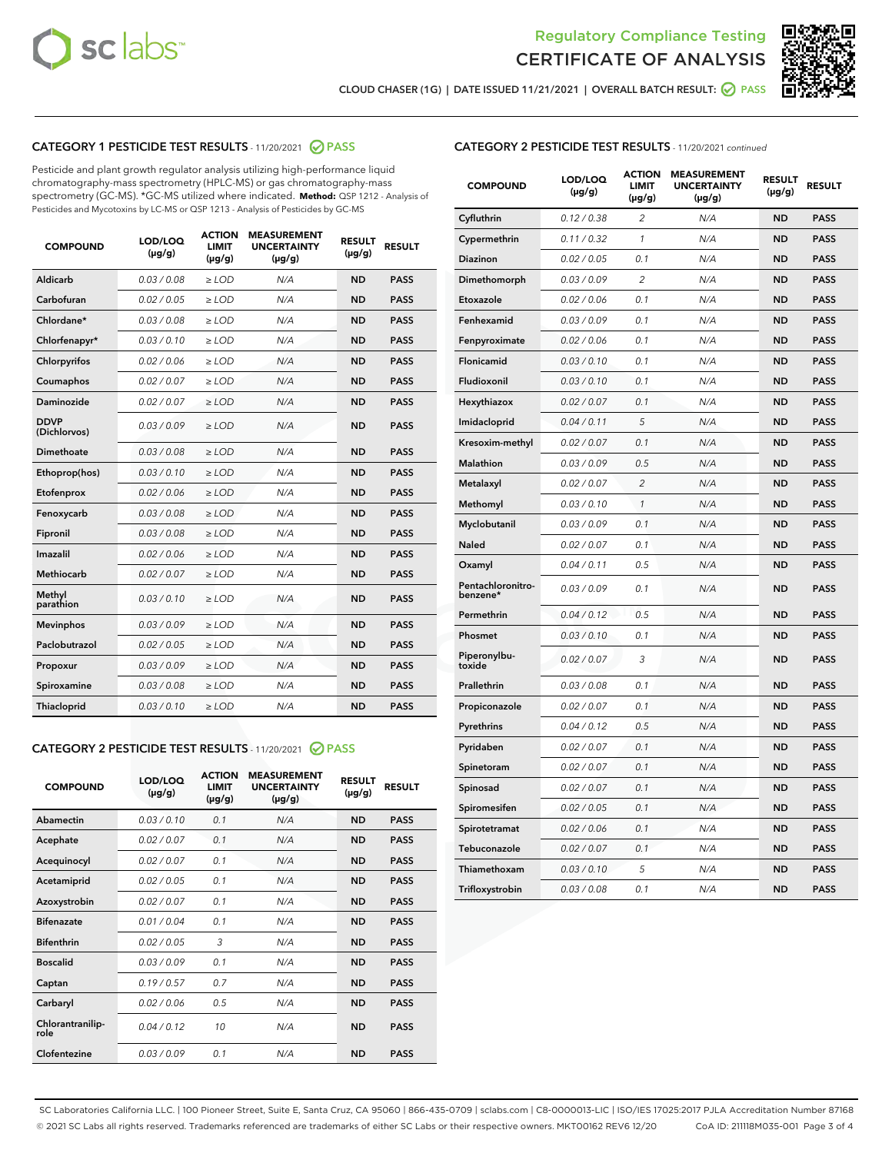



CLOUD CHASER (1G) | DATE ISSUED 11/21/2021 | OVERALL BATCH RESULT:  $\bigcirc$  PASS

# CATEGORY 1 PESTICIDE TEST RESULTS - 11/20/2021 2 PASS

Pesticide and plant growth regulator analysis utilizing high-performance liquid chromatography-mass spectrometry (HPLC-MS) or gas chromatography-mass spectrometry (GC-MS). \*GC-MS utilized where indicated. **Method:** QSP 1212 - Analysis of Pesticides and Mycotoxins by LC-MS or QSP 1213 - Analysis of Pesticides by GC-MS

| 0.03/0.08<br>Aldicarb<br>$>$ LOD<br>N/A<br><b>ND</b><br><b>PASS</b><br>Carbofuran<br>0.02 / 0.05<br>$\ge$ LOD<br><b>ND</b><br><b>PASS</b><br>N/A<br>Chlordane*<br>0.03/0.08<br><b>PASS</b><br>$>$ LOD<br>N/A<br><b>ND</b><br>0.03/0.10<br><b>PASS</b><br>Chlorfenapyr*<br>$\ge$ LOD<br>N/A<br><b>ND</b><br>Chlorpyrifos<br>0.02 / 0.06<br>N/A<br><b>ND</b><br><b>PASS</b><br>$\ge$ LOD<br>0.02 / 0.07<br>N/A<br><b>ND</b><br><b>PASS</b><br>Coumaphos<br>$\ge$ LOD<br>Daminozide<br>0.02 / 0.07<br>$\ge$ LOD<br>N/A<br><b>ND</b><br><b>PASS</b><br><b>DDVP</b><br>0.03/0.09<br>$\ge$ LOD<br>N/A<br><b>ND</b><br><b>PASS</b><br>(Dichlorvos)<br><b>Dimethoate</b><br>0.03 / 0.08<br>N/A<br><b>ND</b><br><b>PASS</b><br>$\ge$ LOD<br>0.03/0.10<br><b>ND</b><br><b>PASS</b><br>Ethoprop(hos)<br>$\ge$ LOD<br>N/A<br>N/A<br><b>ND</b><br><b>PASS</b><br>Etofenprox<br>0.02 / 0.06<br>$\ge$ LOD<br>0.03/0.08<br>N/A<br><b>ND</b><br><b>PASS</b><br>Fenoxycarb<br>$\ge$ LOD<br>0.03/0.08<br>N/A<br><b>ND</b><br><b>PASS</b><br>Fipronil<br>$>$ LOD<br>0.02 / 0.06<br>Imazalil<br>$\ge$ LOD<br>N/A<br><b>ND</b><br><b>PASS</b><br>0.02 / 0.07<br>Methiocarb<br>$\ge$ LOD<br>N/A<br><b>ND</b><br><b>PASS</b><br>Methyl<br>0.03/0.10<br>N/A<br><b>ND</b><br><b>PASS</b><br>$\ge$ LOD<br>parathion<br>0.03/0.09<br><b>ND</b><br><b>PASS</b><br><b>Mevinphos</b><br>$\ge$ LOD<br>N/A<br>Paclobutrazol<br>0.02 / 0.05<br>$>$ LOD<br>N/A<br><b>ND</b><br><b>PASS</b><br>0.03/0.09<br>N/A<br>$\ge$ LOD<br><b>ND</b><br><b>PASS</b><br>Propoxur<br>0.03/0.08<br><b>ND</b><br><b>PASS</b><br>Spiroxamine<br>$\ge$ LOD<br>N/A<br>Thiacloprid<br>0.03/0.10<br>$\ge$ LOD<br>N/A<br><b>ND</b><br><b>PASS</b> | <b>COMPOUND</b> | LOD/LOQ<br>$(\mu g/g)$ | <b>ACTION</b><br><b>LIMIT</b><br>$(\mu g/g)$ | <b>MEASUREMENT</b><br><b>UNCERTAINTY</b><br>$(\mu g/g)$ | <b>RESULT</b><br>$(\mu g/g)$ | <b>RESULT</b> |
|------------------------------------------------------------------------------------------------------------------------------------------------------------------------------------------------------------------------------------------------------------------------------------------------------------------------------------------------------------------------------------------------------------------------------------------------------------------------------------------------------------------------------------------------------------------------------------------------------------------------------------------------------------------------------------------------------------------------------------------------------------------------------------------------------------------------------------------------------------------------------------------------------------------------------------------------------------------------------------------------------------------------------------------------------------------------------------------------------------------------------------------------------------------------------------------------------------------------------------------------------------------------------------------------------------------------------------------------------------------------------------------------------------------------------------------------------------------------------------------------------------------------------------------------------------------------------------------------------------------------------------------------------------------------------------------|-----------------|------------------------|----------------------------------------------|---------------------------------------------------------|------------------------------|---------------|
|                                                                                                                                                                                                                                                                                                                                                                                                                                                                                                                                                                                                                                                                                                                                                                                                                                                                                                                                                                                                                                                                                                                                                                                                                                                                                                                                                                                                                                                                                                                                                                                                                                                                                          |                 |                        |                                              |                                                         |                              |               |
|                                                                                                                                                                                                                                                                                                                                                                                                                                                                                                                                                                                                                                                                                                                                                                                                                                                                                                                                                                                                                                                                                                                                                                                                                                                                                                                                                                                                                                                                                                                                                                                                                                                                                          |                 |                        |                                              |                                                         |                              |               |
|                                                                                                                                                                                                                                                                                                                                                                                                                                                                                                                                                                                                                                                                                                                                                                                                                                                                                                                                                                                                                                                                                                                                                                                                                                                                                                                                                                                                                                                                                                                                                                                                                                                                                          |                 |                        |                                              |                                                         |                              |               |
|                                                                                                                                                                                                                                                                                                                                                                                                                                                                                                                                                                                                                                                                                                                                                                                                                                                                                                                                                                                                                                                                                                                                                                                                                                                                                                                                                                                                                                                                                                                                                                                                                                                                                          |                 |                        |                                              |                                                         |                              |               |
|                                                                                                                                                                                                                                                                                                                                                                                                                                                                                                                                                                                                                                                                                                                                                                                                                                                                                                                                                                                                                                                                                                                                                                                                                                                                                                                                                                                                                                                                                                                                                                                                                                                                                          |                 |                        |                                              |                                                         |                              |               |
|                                                                                                                                                                                                                                                                                                                                                                                                                                                                                                                                                                                                                                                                                                                                                                                                                                                                                                                                                                                                                                                                                                                                                                                                                                                                                                                                                                                                                                                                                                                                                                                                                                                                                          |                 |                        |                                              |                                                         |                              |               |
|                                                                                                                                                                                                                                                                                                                                                                                                                                                                                                                                                                                                                                                                                                                                                                                                                                                                                                                                                                                                                                                                                                                                                                                                                                                                                                                                                                                                                                                                                                                                                                                                                                                                                          |                 |                        |                                              |                                                         |                              |               |
|                                                                                                                                                                                                                                                                                                                                                                                                                                                                                                                                                                                                                                                                                                                                                                                                                                                                                                                                                                                                                                                                                                                                                                                                                                                                                                                                                                                                                                                                                                                                                                                                                                                                                          |                 |                        |                                              |                                                         |                              |               |
|                                                                                                                                                                                                                                                                                                                                                                                                                                                                                                                                                                                                                                                                                                                                                                                                                                                                                                                                                                                                                                                                                                                                                                                                                                                                                                                                                                                                                                                                                                                                                                                                                                                                                          |                 |                        |                                              |                                                         |                              |               |
|                                                                                                                                                                                                                                                                                                                                                                                                                                                                                                                                                                                                                                                                                                                                                                                                                                                                                                                                                                                                                                                                                                                                                                                                                                                                                                                                                                                                                                                                                                                                                                                                                                                                                          |                 |                        |                                              |                                                         |                              |               |
|                                                                                                                                                                                                                                                                                                                                                                                                                                                                                                                                                                                                                                                                                                                                                                                                                                                                                                                                                                                                                                                                                                                                                                                                                                                                                                                                                                                                                                                                                                                                                                                                                                                                                          |                 |                        |                                              |                                                         |                              |               |
|                                                                                                                                                                                                                                                                                                                                                                                                                                                                                                                                                                                                                                                                                                                                                                                                                                                                                                                                                                                                                                                                                                                                                                                                                                                                                                                                                                                                                                                                                                                                                                                                                                                                                          |                 |                        |                                              |                                                         |                              |               |
|                                                                                                                                                                                                                                                                                                                                                                                                                                                                                                                                                                                                                                                                                                                                                                                                                                                                                                                                                                                                                                                                                                                                                                                                                                                                                                                                                                                                                                                                                                                                                                                                                                                                                          |                 |                        |                                              |                                                         |                              |               |
|                                                                                                                                                                                                                                                                                                                                                                                                                                                                                                                                                                                                                                                                                                                                                                                                                                                                                                                                                                                                                                                                                                                                                                                                                                                                                                                                                                                                                                                                                                                                                                                                                                                                                          |                 |                        |                                              |                                                         |                              |               |
|                                                                                                                                                                                                                                                                                                                                                                                                                                                                                                                                                                                                                                                                                                                                                                                                                                                                                                                                                                                                                                                                                                                                                                                                                                                                                                                                                                                                                                                                                                                                                                                                                                                                                          |                 |                        |                                              |                                                         |                              |               |
|                                                                                                                                                                                                                                                                                                                                                                                                                                                                                                                                                                                                                                                                                                                                                                                                                                                                                                                                                                                                                                                                                                                                                                                                                                                                                                                                                                                                                                                                                                                                                                                                                                                                                          |                 |                        |                                              |                                                         |                              |               |
|                                                                                                                                                                                                                                                                                                                                                                                                                                                                                                                                                                                                                                                                                                                                                                                                                                                                                                                                                                                                                                                                                                                                                                                                                                                                                                                                                                                                                                                                                                                                                                                                                                                                                          |                 |                        |                                              |                                                         |                              |               |
|                                                                                                                                                                                                                                                                                                                                                                                                                                                                                                                                                                                                                                                                                                                                                                                                                                                                                                                                                                                                                                                                                                                                                                                                                                                                                                                                                                                                                                                                                                                                                                                                                                                                                          |                 |                        |                                              |                                                         |                              |               |
|                                                                                                                                                                                                                                                                                                                                                                                                                                                                                                                                                                                                                                                                                                                                                                                                                                                                                                                                                                                                                                                                                                                                                                                                                                                                                                                                                                                                                                                                                                                                                                                                                                                                                          |                 |                        |                                              |                                                         |                              |               |
|                                                                                                                                                                                                                                                                                                                                                                                                                                                                                                                                                                                                                                                                                                                                                                                                                                                                                                                                                                                                                                                                                                                                                                                                                                                                                                                                                                                                                                                                                                                                                                                                                                                                                          |                 |                        |                                              |                                                         |                              |               |
|                                                                                                                                                                                                                                                                                                                                                                                                                                                                                                                                                                                                                                                                                                                                                                                                                                                                                                                                                                                                                                                                                                                                                                                                                                                                                                                                                                                                                                                                                                                                                                                                                                                                                          |                 |                        |                                              |                                                         |                              |               |

#### CATEGORY 2 PESTICIDE TEST RESULTS - 11/20/2021 @ PASS

| <b>COMPOUND</b>          | LOD/LOO<br>$(\mu g/g)$ | <b>ACTION</b><br>LIMIT<br>$(\mu g/g)$ | <b>MEASUREMENT</b><br><b>UNCERTAINTY</b><br>$(\mu g/g)$ | <b>RESULT</b><br>$(\mu g/g)$ | <b>RESULT</b> |  |
|--------------------------|------------------------|---------------------------------------|---------------------------------------------------------|------------------------------|---------------|--|
| Abamectin                | 0.03/0.10              | 0.1                                   | N/A                                                     | <b>ND</b>                    | <b>PASS</b>   |  |
| Acephate                 | 0.02/0.07              | 0.1                                   | N/A                                                     | <b>ND</b>                    | <b>PASS</b>   |  |
| Acequinocyl              | 0.02/0.07              | 0.1                                   | N/A                                                     | <b>ND</b>                    | <b>PASS</b>   |  |
| Acetamiprid              | 0.02/0.05              | 0.1                                   | N/A                                                     | <b>ND</b>                    | <b>PASS</b>   |  |
| Azoxystrobin             | 0.02/0.07              | 0.1                                   | N/A                                                     | <b>ND</b>                    | <b>PASS</b>   |  |
| <b>Bifenazate</b>        | 0.01 / 0.04            | 0.1                                   | N/A                                                     | <b>ND</b>                    | <b>PASS</b>   |  |
| <b>Bifenthrin</b>        | 0.02 / 0.05            | 3                                     | N/A                                                     | <b>ND</b>                    | <b>PASS</b>   |  |
| <b>Boscalid</b>          | 0.03/0.09              | 0.1                                   | N/A                                                     | <b>ND</b>                    | <b>PASS</b>   |  |
| Captan                   | 0.19/0.57              | 07                                    | N/A                                                     | <b>ND</b>                    | <b>PASS</b>   |  |
| Carbaryl                 | 0.02/0.06              | 0.5                                   | N/A                                                     | <b>ND</b>                    | <b>PASS</b>   |  |
| Chlorantranilip-<br>role | 0.04/0.12              | 10                                    | N/A                                                     | <b>ND</b>                    | <b>PASS</b>   |  |
| Clofentezine             | 0.03/0.09              | 0 <sub>1</sub>                        | N/A                                                     | <b>ND</b>                    | <b>PASS</b>   |  |

| <b>COMPOUND</b>               | LOD/LOQ<br>(µg/g) | <b>ACTION</b><br>LIMIT<br>$(\mu g/g)$ | <b>MEASUREMENT</b><br><b>UNCERTAINTY</b><br>$(\mu g/g)$ | <b>RESULT</b><br>(µg/g) | <b>RESULT</b> |
|-------------------------------|-------------------|---------------------------------------|---------------------------------------------------------|-------------------------|---------------|
| Cyfluthrin                    | 0.12 / 0.38       | $\overline{2}$                        | N/A                                                     | <b>ND</b>               | <b>PASS</b>   |
| Cypermethrin                  | 0.11 / 0.32       | 1                                     | N/A                                                     | <b>ND</b>               | <b>PASS</b>   |
| Diazinon                      | 0.02 / 0.05       | 0.1                                   | N/A                                                     | <b>ND</b>               | <b>PASS</b>   |
| Dimethomorph                  | 0.03/0.09         | $\overline{2}$                        | N/A                                                     | <b>ND</b>               | <b>PASS</b>   |
| Etoxazole                     | 0.02 / 0.06       | 0.1                                   | N/A                                                     | <b>ND</b>               | <b>PASS</b>   |
| Fenhexamid                    | 0.03 / 0.09       | 0.1                                   | N/A                                                     | <b>ND</b>               | <b>PASS</b>   |
| Fenpyroximate                 | 0.02 / 0.06       | 0.1                                   | N/A                                                     | <b>ND</b>               | <b>PASS</b>   |
| <b>Flonicamid</b>             | 0.03 / 0.10       | 0.1                                   | N/A                                                     | <b>ND</b>               | <b>PASS</b>   |
| Fludioxonil                   | 0.03 / 0.10       | 0.1                                   | N/A                                                     | <b>ND</b>               | <b>PASS</b>   |
| Hexythiazox                   | 0.02 / 0.07       | 0.1                                   | N/A                                                     | <b>ND</b>               | <b>PASS</b>   |
| Imidacloprid                  | 0.04 / 0.11       | 5                                     | N/A                                                     | <b>ND</b>               | <b>PASS</b>   |
| Kresoxim-methyl               | 0.02 / 0.07       | 0.1                                   | N/A                                                     | <b>ND</b>               | <b>PASS</b>   |
| Malathion                     | 0.03 / 0.09       | 0.5                                   | N/A                                                     | <b>ND</b>               | <b>PASS</b>   |
| Metalaxyl                     | 0.02 / 0.07       | $\overline{c}$                        | N/A                                                     | <b>ND</b>               | <b>PASS</b>   |
| Methomyl                      | 0.03 / 0.10       | $\mathcal{I}$                         | N/A                                                     | <b>ND</b>               | <b>PASS</b>   |
| Myclobutanil                  | 0.03/0.09         | 0.1                                   | N/A                                                     | <b>ND</b>               | <b>PASS</b>   |
| Naled                         | 0.02 / 0.07       | 0.1                                   | N/A                                                     | ND                      | <b>PASS</b>   |
| Oxamyl                        | 0.04 / 0.11       | 0.5                                   | N/A                                                     | <b>ND</b>               | <b>PASS</b>   |
| Pentachloronitro-<br>benzene* | 0.03 / 0.09       | 0.1                                   | N/A                                                     | <b>ND</b>               | <b>PASS</b>   |
| Permethrin                    | 0.04/0.12         | 0.5                                   | N/A                                                     | <b>ND</b>               | <b>PASS</b>   |
| Phosmet                       | 0.03 / 0.10       | 0.1                                   | N/A                                                     | <b>ND</b>               | <b>PASS</b>   |
| Piperonylbu-<br>toxide        | 0.02 / 0.07       | 3                                     | N/A                                                     | <b>ND</b>               | <b>PASS</b>   |
| Prallethrin                   | 0.03 / 0.08       | 0.1                                   | N/A                                                     | <b>ND</b>               | <b>PASS</b>   |
| Propiconazole                 | 0.02 / 0.07       | 0.1                                   | N/A                                                     | <b>ND</b>               | <b>PASS</b>   |
| Pyrethrins                    | 0.04 / 0.12       | 0.5                                   | N/A                                                     | <b>ND</b>               | <b>PASS</b>   |
| Pyridaben                     | 0.02 / 0.07       | 0.1                                   | N/A                                                     | <b>ND</b>               | <b>PASS</b>   |
| Spinetoram                    | 0.02 / 0.07       | 0.1                                   | N/A                                                     | ND                      | <b>PASS</b>   |
| Spinosad                      | 0.02 / 0.07       | 0.1                                   | N/A                                                     | <b>ND</b>               | <b>PASS</b>   |
| Spiromesifen                  | 0.02 / 0.05       | 0.1                                   | N/A                                                     | <b>ND</b>               | <b>PASS</b>   |
| Spirotetramat                 | 0.02 / 0.06       | 0.1                                   | N/A                                                     | <b>ND</b>               | <b>PASS</b>   |
| Tebuconazole                  | 0.02 / 0.07       | 0.1                                   | N/A                                                     | <b>ND</b>               | <b>PASS</b>   |
| Thiamethoxam                  | 0.03 / 0.10       | 5                                     | N/A                                                     | <b>ND</b>               | <b>PASS</b>   |
| Trifloxystrobin               | 0.03 / 0.08       | 0.1                                   | N/A                                                     | <b>ND</b>               | <b>PASS</b>   |

SC Laboratories California LLC. | 100 Pioneer Street, Suite E, Santa Cruz, CA 95060 | 866-435-0709 | sclabs.com | C8-0000013-LIC | ISO/IES 17025:2017 PJLA Accreditation Number 87168 © 2021 SC Labs all rights reserved. Trademarks referenced are trademarks of either SC Labs or their respective owners. MKT00162 REV6 12/20 CoA ID: 211118M035-001 Page 3 of 4